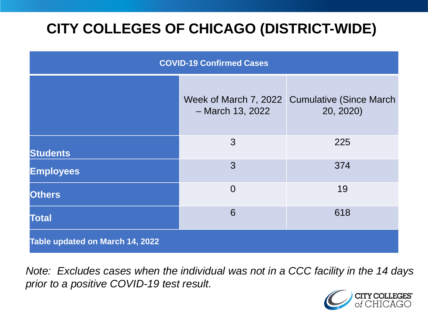# **CITY COLLEGES OF CHICAGO (DISTRICT-WIDE)**

| <b>COVID-19 Confirmed Cases</b> |                                           |                                              |
|---------------------------------|-------------------------------------------|----------------------------------------------|
|                                 | Week of March 7, 2022<br>- March 13, 2022 | <b>Cumulative (Since March)</b><br>20, 2020) |
| <b>Students</b>                 | 3                                         | 225                                          |
| <b>Employees</b>                | 3                                         | 374                                          |
| <b>Others</b>                   | $\overline{0}$                            | 19                                           |
| <b>Total</b>                    | 6                                         | 618                                          |
| Table updated on March 14, 2022 |                                           |                                              |

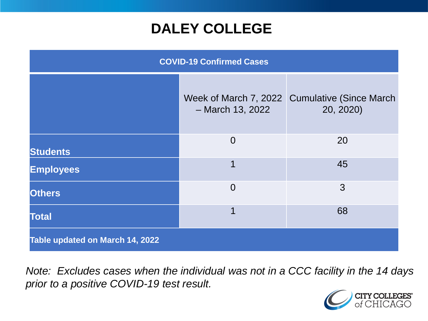### **DALEY COLLEGE**

| <b>COVID-19 Confirmed Cases</b> |                    |                                                            |
|---------------------------------|--------------------|------------------------------------------------------------|
|                                 | $-$ March 13, 2022 | Week of March 7, 2022 Cumulative (Since March<br>20, 2020) |
| <b>Students</b>                 | $\overline{0}$     | 20                                                         |
| <b>Employees</b>                | 1                  | 45                                                         |
| <b>Others</b>                   | $\overline{0}$     | 3                                                          |
| <b>Total</b>                    | 1                  | 68                                                         |
| Table updated on March 14, 2022 |                    |                                                            |

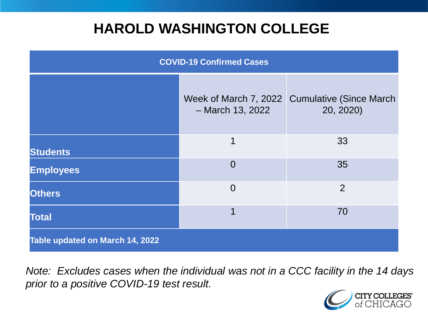### **HAROLD WASHINGTON COLLEGE**

| <b>COVID-19 Confirmed Cases</b> |                                             |                                              |
|---------------------------------|---------------------------------------------|----------------------------------------------|
|                                 | Week of March 7, 2022<br>$-$ March 13, 2022 | <b>Cumulative (Since March)</b><br>20, 2020) |
| <b>Students</b>                 | 1                                           | 33                                           |
| <b>Employees</b>                | $\Omega$                                    | 35                                           |
| <b>Others</b>                   | $\overline{0}$                              | $\overline{2}$                               |
| <b>Total</b>                    | 1                                           | 70                                           |
| Table updated on March 14, 2022 |                                             |                                              |

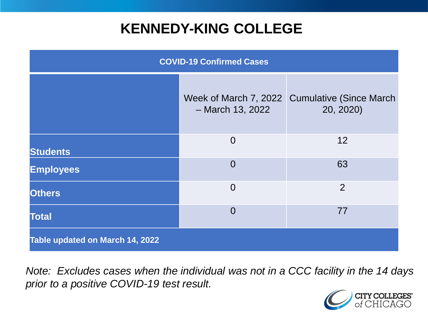### **KENNEDY-KING COLLEGE**

| <b>COVID-19 Confirmed Cases</b> |                                             |                                              |
|---------------------------------|---------------------------------------------|----------------------------------------------|
|                                 | Week of March 7, 2022<br>$-$ March 13, 2022 | <b>Cumulative (Since March)</b><br>20, 2020) |
| <b>Students</b>                 | $\overline{0}$                              | 12                                           |
| <b>Employees</b>                | $\overline{0}$                              | 63                                           |
| <b>Others</b>                   | $\overline{0}$                              | $\overline{2}$                               |
| <b>Total</b>                    | $\overline{0}$                              | 77                                           |
| Table updated on March 14, 2022 |                                             |                                              |

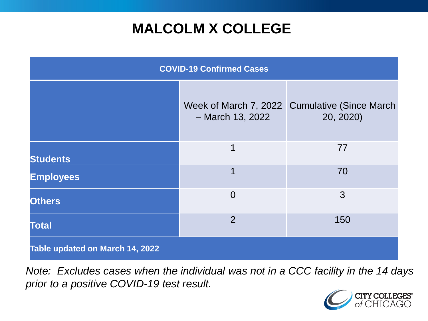## **MALCOLM X COLLEGE**

| <b>COVID-19 Confirmed Cases</b> |                                             |                                              |
|---------------------------------|---------------------------------------------|----------------------------------------------|
|                                 | Week of March 7, 2022<br>$-$ March 13, 2022 | <b>Cumulative (Since March)</b><br>20, 2020) |
| <b>Students</b>                 | 1                                           | 77                                           |
| <b>Employees</b>                | 1                                           | 70                                           |
| <b>Others</b>                   | $\overline{0}$                              | 3                                            |
| <b>Total</b>                    | $\overline{2}$                              | 150                                          |
| Table updated on March 14, 2022 |                                             |                                              |

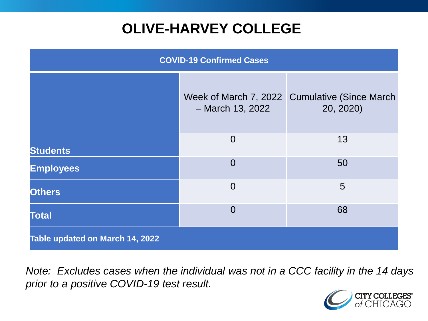# **OLIVE-HARVEY COLLEGE**

| <b>COVID-19 Confirmed Cases</b> |                                             |                                              |
|---------------------------------|---------------------------------------------|----------------------------------------------|
|                                 | Week of March 7, 2022<br>$-$ March 13, 2022 | <b>Cumulative (Since March)</b><br>20, 2020) |
| <b>Students</b>                 | $\overline{0}$                              | 13                                           |
| <b>Employees</b>                | $\Omega$                                    | 50                                           |
| <b>Others</b>                   | $\overline{0}$                              | 5                                            |
| <b>Total</b>                    | $\Omega$                                    | 68                                           |
| Table updated on March 14, 2022 |                                             |                                              |

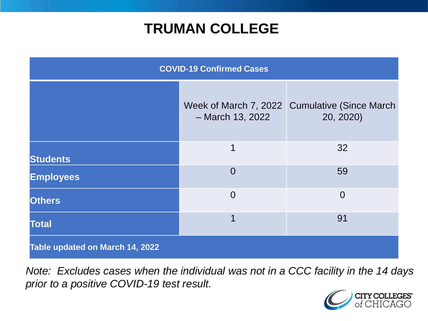### **TRUMAN COLLEGE**

| <b>COVID-19 Confirmed Cases</b> |                    |                                                            |
|---------------------------------|--------------------|------------------------------------------------------------|
|                                 | $-$ March 13, 2022 | Week of March 7, 2022 Cumulative (Since March<br>20, 2020) |
| <b>Students</b>                 | 1                  | 32                                                         |
| <b>Employees</b>                | $\overline{0}$     | 59                                                         |
| <b>Others</b>                   | $\overline{0}$     | $\overline{0}$                                             |
| <b>Total</b>                    | 1                  | 91                                                         |
| Table updated on March 14, 2022 |                    |                                                            |

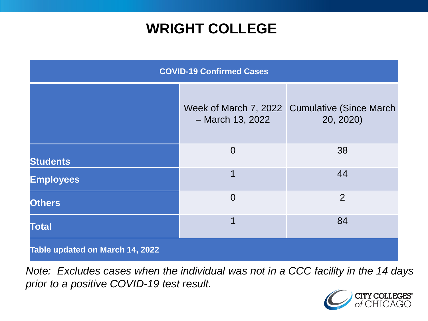### **WRIGHT COLLEGE**

| <b>COVID-19 Confirmed Cases</b> |                    |                                                            |
|---------------------------------|--------------------|------------------------------------------------------------|
|                                 | $-$ March 13, 2022 | Week of March 7, 2022 Cumulative (Since March<br>20, 2020) |
| <b>Students</b>                 | $\overline{0}$     | 38                                                         |
| <b>Employees</b>                | 1                  | 44                                                         |
| <b>Others</b>                   | $\overline{0}$     | $\overline{2}$                                             |
| <b>Total</b>                    | 1                  | 84                                                         |
| Table updated on March 14, 2022 |                    |                                                            |

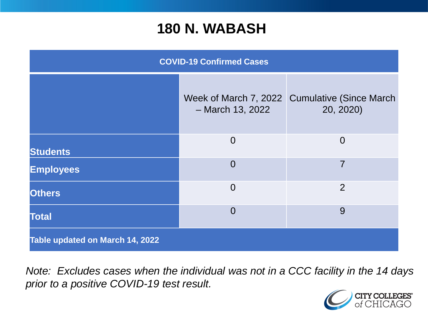#### **180 N. WABASH**

| <b>COVID-19 Confirmed Cases</b> |                                             |                                             |
|---------------------------------|---------------------------------------------|---------------------------------------------|
|                                 | Week of March 7, 2022<br>$-$ March 13, 2022 | <b>Cumulative (Since March</b><br>20, 2020) |
| <b>Students</b>                 | $\overline{0}$                              | $\overline{0}$                              |
| <b>Employees</b>                | $\overline{0}$                              | $\overline{7}$                              |
| <b>Others</b>                   | $\overline{0}$                              | 2                                           |
| <b>Total</b>                    | $\overline{0}$                              | 9                                           |
| Table updated on March 14, 2022 |                                             |                                             |